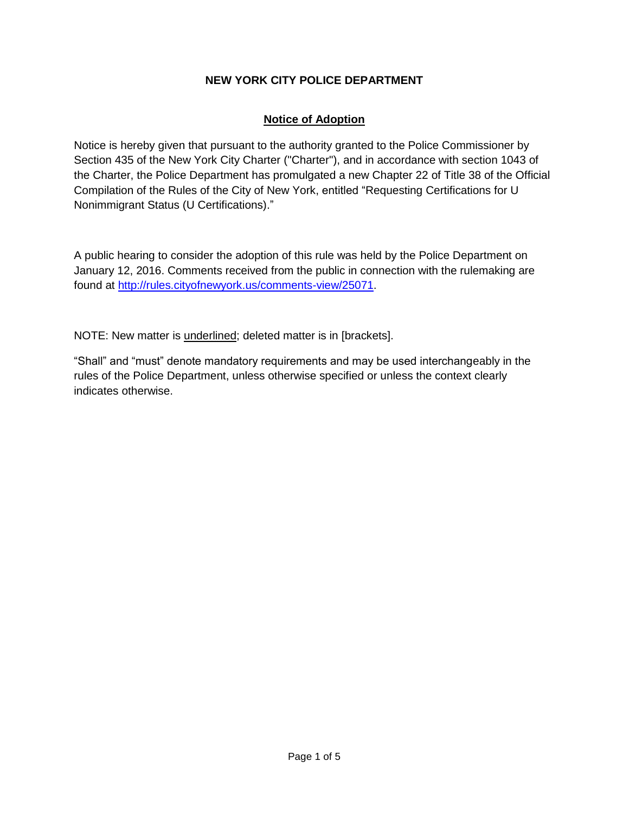# **NEW YORK CITY POLICE DEPARTMENT**

# **Notice of Adoption**

Notice is hereby given that pursuant to the authority granted to the Police Commissioner by Section 435 of the New York City Charter ("Charter"), and in accordance with section 1043 of the Charter, the Police Department has promulgated a new Chapter 22 of Title 38 of the Official Compilation of the Rules of the City of New York, entitled "Requesting Certifications for U Nonimmigrant Status (U Certifications)."

A public hearing to consider the adoption of this rule was held by the Police Department on January 12, 2016. Comments received from the public in connection with the rulemaking are found at [http://rules.cityofnewyork.us/comments-view/25071.](http://rules.cityofnewyork.us/comments-view/25071)

NOTE: New matter is underlined; deleted matter is in [brackets].

"Shall" and "must" denote mandatory requirements and may be used interchangeably in the rules of the Police Department, unless otherwise specified or unless the context clearly indicates otherwise.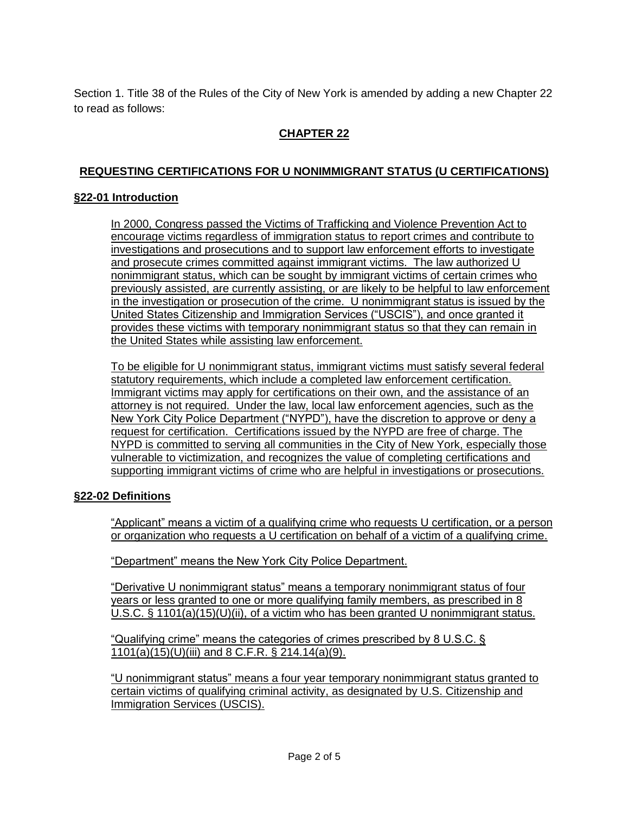Section 1. Title 38 of the Rules of the City of New York is amended by adding a new Chapter 22 to read as follows:

# **CHAPTER 22**

# **REQUESTING CERTIFICATIONS FOR U NONIMMIGRANT STATUS (U CERTIFICATIONS)**

#### **§22-01 Introduction**

In 2000, Congress passed the Victims of Trafficking and Violence Prevention Act to encourage victims regardless of immigration status to report crimes and contribute to investigations and prosecutions and to support law enforcement efforts to investigate and prosecute crimes committed against immigrant victims. The law authorized U nonimmigrant status, which can be sought by immigrant victims of certain crimes who previously assisted, are currently assisting, or are likely to be helpful to law enforcement in the investigation or prosecution of the crime. U nonimmigrant status is issued by the United States Citizenship and Immigration Services ("USCIS"), and once granted it provides these victims with temporary nonimmigrant status so that they can remain in the United States while assisting law enforcement.

To be eligible for U nonimmigrant status, immigrant victims must satisfy several federal statutory requirements, which include a completed law enforcement certification. Immigrant victims may apply for certifications on their own, and the assistance of an attorney is not required. Under the law, local law enforcement agencies, such as the New York City Police Department ("NYPD"), have the discretion to approve or deny a request for certification. Certifications issued by the NYPD are free of charge. The NYPD is committed to serving all communities in the City of New York, especially those vulnerable to victimization, and recognizes the value of completing certifications and supporting immigrant victims of crime who are helpful in investigations or prosecutions.

## **§22-02 Definitions**

"Applicant" means a victim of a qualifying crime who requests U certification, or a person or organization who requests a U certification on behalf of a victim of a qualifying crime.

"Department" means the New York City Police Department.

"Derivative U nonimmigrant status" means a temporary nonimmigrant status of four years or less granted to one or more qualifying family members, as prescribed in 8 U.S.C. § 1101(a)(15)(U)(ii), of a victim who has been granted U nonimmigrant status.

"Qualifying crime" means the categories of crimes prescribed by 8 U.S.C. § 1101(a)(15)(U)(iii) and 8 C.F.R. § 214.14(a)(9).

"U nonimmigrant status" means a four year temporary nonimmigrant status granted to certain victims of qualifying criminal activity, as designated by U.S. Citizenship and Immigration Services (USCIS).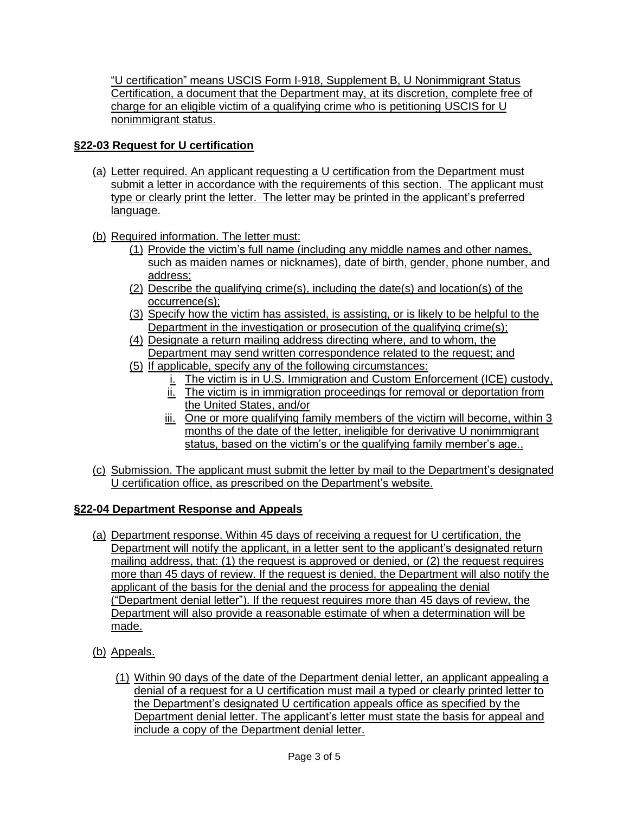"U certification" means USCIS Form I-918, Supplement B, U Nonimmigrant Status Certification, a document that the Department may, at its discretion, complete free of charge for an eligible victim of a qualifying crime who is petitioning USCIS for U nonimmigrant status.

## **§22-03 Request for U certification**

- (a) Letter required. An applicant requesting a U certification from the Department must submit a letter in accordance with the requirements of this section. The applicant must type or clearly print the letter. The letter may be printed in the applicant's preferred language.
- (b) Required information. The letter must:
	- (1) Provide the victim's full name (including any middle names and other names, such as maiden names or nicknames), date of birth, gender, phone number, and address;
	- (2) Describe the qualifying crime(s), including the date(s) and location(s) of the occurrence(s);
	- (3) Specify how the victim has assisted, is assisting, or is likely to be helpful to the Department in the investigation or prosecution of the qualifying crime(s);
	- (4) Designate a return mailing address directing where, and to whom, the Department may send written correspondence related to the request; and
	- (5) If applicable, specify any of the following circumstances:
		- i. The victim is in U.S. Immigration and Custom Enforcement (ICE) custody,
		- ii. The victim is in immigration proceedings for removal or deportation from the United States, and/or
		- iii. One or more qualifying family members of the victim will become, within 3 months of the date of the letter, ineligible for derivative U nonimmigrant status, based on the victim's or the qualifying family member's age..
- (c) Submission. The applicant must submit the letter by mail to the Department's designated U certification office, as prescribed on the Department's website.

## **§22-04 Department Response and Appeals**

- (a) Department response. Within 45 days of receiving a request for U certification, the Department will notify the applicant, in a letter sent to the applicant's designated return mailing address, that: (1) the request is approved or denied, or (2) the request requires more than 45 days of review. If the request is denied, the Department will also notify the applicant of the basis for the denial and the process for appealing the denial ("Department denial letter"). If the request requires more than 45 days of review, the Department will also provide a reasonable estimate of when a determination will be made.
- (b) Appeals.
	- (1) Within 90 days of the date of the Department denial letter, an applicant appealing a denial of a request for a U certification must mail a typed or clearly printed letter to the Department's designated U certification appeals office as specified by the Department denial letter. The applicant's letter must state the basis for appeal and include a copy of the Department denial letter.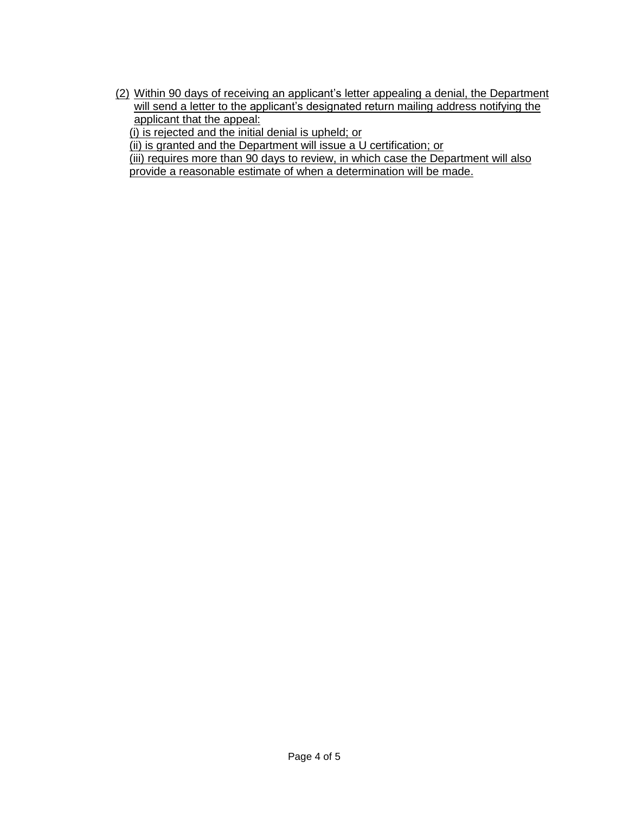(2) Within 90 days of receiving an applicant's letter appealing a denial, the Department will send a letter to the applicant's designated return mailing address notifying the applicant that the appeal:

(i) is rejected and the initial denial is upheld; or

(ii) is granted and the Department will issue a U certification; or

(iii) requires more than 90 days to review, in which case the Department will also provide a reasonable estimate of when a determination will be made.